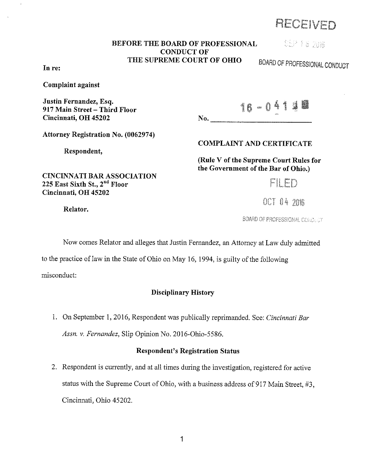# RE(JEIVED

# BEFORE THE BOARD OF PROFESSIONAL CONDUCT OF THE SUPREME COURT OF OHIO

 $\mathbf{No.}$ 

CEP 18 2018

BOARD OF PROFESSIONAL CONDUCT

In re:

Complaint against

Justin Fernandez, Esq. 917 Main Street - Third Floor Cincinnati, OH 45202

16-0413

Attorney Registration No. (0062974)

CINCINNATI BAR ASSOCIATION

Respondent,

225 East Sixth St., 2<sup>nd</sup> Floor

# COMPLAINT AND CERTIFICATE

(Rule V of the Supreme Court Rules for the Government of the Bar of Ohio.)

FII FD

OCT 04 2016

Relator.

Cincinnati, OH 45202

BOARD OF PROFESSIONAL CORNECT

Now comes Relator and alleges that Justin Fernandez, an Attorney at Law duly admitted

to the practice of law in the State of Ohio on May 16, 1994, is guilty of the following

misconduct:

# Disciplinary History

1. On September 1, 2016, Respondent was publically reprimanded. See: *Cincinnati Bar Assn. v. Fernandez,* Slip Opinion No. 2016-0hio-5586.

# Respondent's Registration Status

2. Respondent is currently, and at all times during the investigation, registered for active status with the Supreme Court of Ohio, with a business address of 917 Main Street, #3, Cincinnati, Ohio 45202.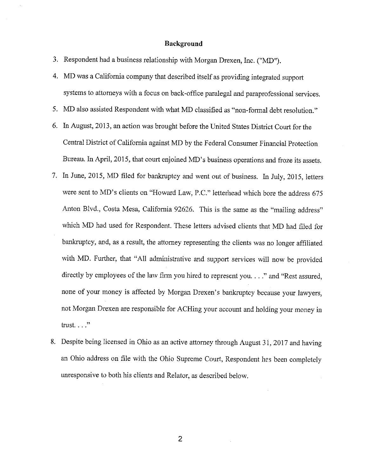# **Background**

3. Respondent had a business relationship with Morgan Drexen, Inc. ("MD").

- 4. MD was a California company that described itself as providing integrated support systems to attorneys with a focus on back-office paralegal and paraprofessional services.
- 5. MD also assisted Respondent with what MD classified as "non-formal debt resolution."
- 6. In August, 2013, an action was brought before the United States District Court for the Central District of California against MD by the Federal Consumer Financial Protection Bureau. In April, 2015, that court enjoined MD's business operations and froze its assets.
- 7. In June, 2015, MD filed for bankruptcy and went out of business. In July, 2015, letters were sent to MD's clients on "Howard Law, P.C." letterhead which bore the address 675 Anton Blvd., Costa Mesa, California 92626. This is the same as the "mailing address" which MD had used for Respondent. These letters advised clients that MD had filed for bankruptcy, and, as a result, the attorney representing the clients was no longer affiliated with MD. Further, that "All administrative and support services will now be provided directly by employees of the law firm you hired to represent you...." and "Rest assured, none of your money is affected by Morgan Drexen's bankruptcy because your lawyers, not Morgan Drexen are responsible for ACHing your account and holding your money in trust.  $\ldots$  "
- 8. Despite being licensed in Ohio as an active attorney through August 31, 2017 and having an Ohio address on file with the Ohio Supreme Court, Respondent has been completely unresponsive to both his clients and Relator, as described below.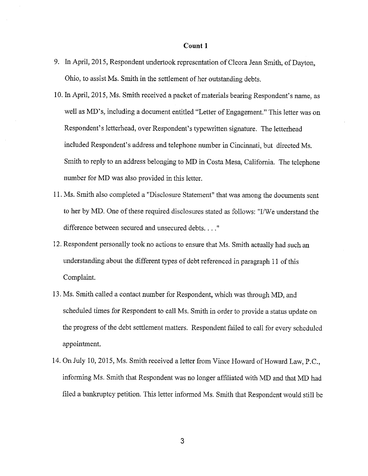- 9. In April, 2015, Respondent undertook representation of Cleora Jean Smith, of Dayton, Ohio, to assist Ms. Smith in the settlement of her outstanding debts.
- 10. In April, 2015, Ms. Smith received a packet of materials bearing Respondent's name, as well as MD's, including a document entitled "Letter of Engagement." This letter was on Respondent's letterhead, over Respondent's typewritten signature. The letterhead included Respondent's address and telephone number in Cincinnati, but directed Ms. Smith to reply to an address belonging to MD in Costa Mesa, California. The telephone number for MD was also provided in this letter.
- 11. Ms. Smith also completed a "Disclosure Statement" that was among the documents sent to her by MD. One of these required disclosures stated as follows: "I/We understand the difference between secured and unsecured debts...."
- 12. Respondent personally took no actions to ensure that Ms. Smith actually had such an understanding about the different types of debt referenced in paragraph 11 of this Complaint.
- 13. Ms. Smith called a contact number for Respondent, which was through MD, and scheduled times for Respondent to call Ms. Smith in order to provide a status update on the progress of the debt settlement matters. Respondent failed to call for every scheduled appointment.
- 14. On July 10, 2015, Ms. Smith received a letter from Vince Howard of Howard Law, P.C., informing Ms. Smith that Respondent was no longer affiliated with MD and that MD had filed a bankruptcy petition. This letter informed Ms. Smith that Respondent would still be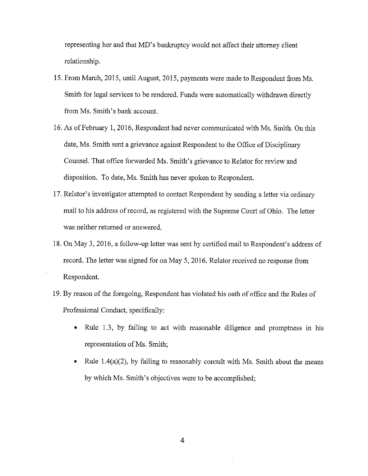representing her and that MD's bankruptcy would not affect their attorney client relationship.

- 15. From March, 2015, until August, 2015, payments were made to Respondent from Ms. Smith for legal services to be rendered. Funds were automatically withdrawn directly from Ms. Smith's bank account.
- 16. As of February 1, 2016, Respondent had never communicated with Ms. Smith. On this date, Ms. Smith sent a grievance against Respondent to the Office of Disciplinary Counsel. That office forwarded Ms. Smith's grievance to Relator for review and disposition. To date, Ms. Smith has never spoken to Respondent.
- 17. Relator's investigator attempted to contact Respondent by sending a letter via ordinary mail to his address ofrecord, as registered with the Supreme Court of Ohio. The letter was neither returned or answered.
- 18. On May 3, 2016, a follow-up letter was sent by certified mail to Respondent's address of record. The letter was signed for on May 5, 2016. Relator received no response from Respondent.
- 19. By reason of the foregoing, Respondent has violated his oath of office and the Rules of Professional Conduct, specifically:
	- Rule 1.3, by failing to act with reasonable diligence and promptness in his representation of Ms. Smith;
	- Rule  $1.4(a)(2)$ , by failing to reasonably consult with Ms. Smith about the means by which Ms. Smith's objectives were to be accomplished;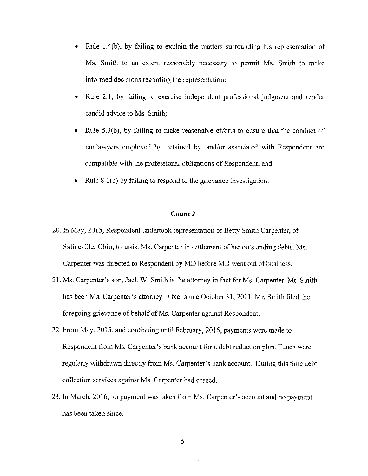- Rule 1.4(b), by failing to explain the matters surrounding his representation of Ms. Smith to an extent reasonably necessary to permit Ms. Smith to make informed decisions regarding the representation;
- Rule 2.1, by failing to exercise independent professional judgment and render candid advice to Ms. Smith;
- Rule 5.3(b), by failing to make reasonable efforts to ensure that the conduct of nonlawyers employed by, retained by, and/or associated with Respondent are compatible with the professional obligations of Respondent; and
- Rule 8.1 (b) by failing to respond to the grievance investigation.

- 20. ln May, 2015, Respondent undertook representation of Betty Smith Carpenter, of Salineville, Ohio, to assist Ms. Carpenter in settlement of her outstanding debts. Ms. Carpenter was directed to Respondent by MD before MD went out of business.
- 21. Ms. Carpenter's son, Jack W. Smith is the attorney in fact for Ms. Carpenter. Mr. Smith has been Ms. Carpenter's attorney in fact since October 31, 2011. Mr. Smith filed the foregoing grievance of behalf of Ms. Carpenter against Respondent.
- 22. From May, 2015, and continuing until February, 2016, payments were made to Respondent from Ms. Carpenter's bank account for a debt reduction plan. Funds were regularly withdrawn directly from Ms. Carpenter's bank account. During this time debt collection services against Ms. Carpenter had ceased.
- 23. In March, 2016, no payment was taken from Ms. Carpenter's account and no payment has been taken since.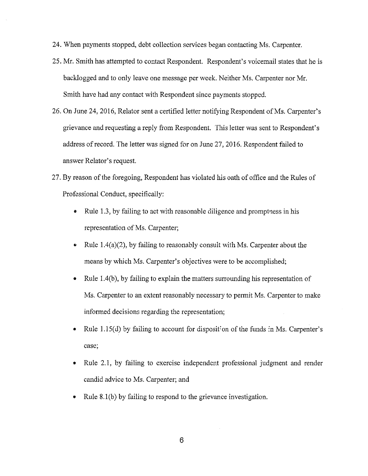- 24. When payments stopped, debt collection services began contacting Ms. Carpenter.
- 25. Mr. Smith has attempted to contact Respondent. Respondent's voicemail states that he is backlogged and to only leave one message per week. Neither Ms. Carpenter nor Mr. Smith have had any contact with Respondent since payments stopped.
- 26. On June 24, 2016, Relator sent a certified letter notifying Respondent of Ms. Carpenter's grievance and requesting a reply from Respondent. This letter was sent to Respondent's address of record. The letter was signed for on June 27, 2016. Respondent failed to answer Relator's request.
- 27. By reason of the foregoing, Respondent has violated his oath of office and the Rules of Professional Conduct, specifically:
	- Rule 1.3, by failing to act with reasonable diligence and promptness in his representation of Ms. Carpenter;
	- Rule  $1.4(a)(2)$ , by failing to reasonably consult with Ms. Carpenter about the means by which Ms. Carpenter's objectives were to be accomplished;
	- Rule 1.4(b), by failing to explain the matters surrounding his representation of Ms. Carpenter to an extent reasonably necessary to permit Ms. Carpenter to make informed decisions regarding the representation;
	- Rule 1.15(d) by failing to account for disposition of the funds in Ms. Carpenter's case;
	- Rule 2.1, by failing to exercise independent professional judgment and render candid advice to Ms. Carpenter; and
	- Rule 8.1 (b) by failing to respond to the grievance investigation.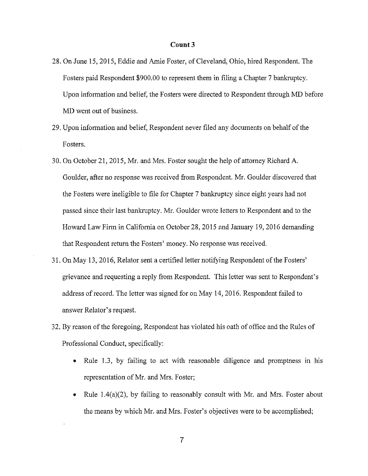- 28. On June 15, 2015, Eddie and Amie Foster, of Cleveland, Ohio, hired Respondent. The Fosters paid Respondent \$900.00 to represent them in filing a Chapter 7 bankruptcy. Upon information and belief, the Fosters were directed to Respondent through MD before MD went out of business.
- 29. Upon information and belief, Respondent never filed any documents on behalf of the Fosters.
- 30. On October 21, 2015, Mr. and Mrs. Foster sought the help of attorney Richard A. Goulder, after no response was received from Respondent. Mr. Goulder discovered that the Fosters were ineligible to file for Chapter 7 bankruptcy since eight years had not passed since their last bankruptcy. Mr. Goulder wrote letters to Respondent and to the Howard Law Firm in California on October 28, 2015 8nd January 19, 2016 demanding that Respondent return the Fosters' money. No response was received.
- 31. On May 13, 2016, Relator sent a certified letter notifying Respondent of the Fosters' grievance and requesting a reply from Respondent. This letter was sent to Respondent's address of record. The letter was signed for on May 14, 2016. Respondent failed to answer Relator's request.
- 32. By reason of the foregoing, Respondent has violated his oath of office and the Rules of Professional Conduct, specifically:
	- Rule 1.3, by failing to act with reasonable diligence and promptness in his representation of Mr. and Mrs. Foster;
	- Rule 1.4(a)(2), by failing to reasonably consult with Mr. and Mrs. Foster about the means by which Mr. and Mrs. Foster's objectives were to be accomplished;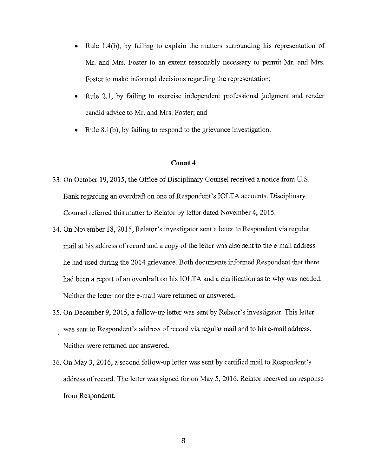- Rule 1.4(b), by failing to explain the matters surrounding his representation of Mr. and Mrs. Foster to an extent reasonably necessary to permit Mr. and Mrs. Foster to make informed decisions regarding the representation;
- Rule 2.1, by failing to exercise independent professional judgment and render candid advice to Mr. and Mrs. Foster; and
- Rule 8.1(b), by failing to respond to the grievance investigation.

- 33. On October 19, 2015, the Office of Disciplinary Counsel received a notice from U.S. Bank regarding an overdraft on one of Respondent's IOLTA accounts. Disciplinary Counsel refened this matter to Relator by letter dated November 4, 2015.
- 34. On November 18, 2015, Relator's investigator sent a letter to Respondent via regular mail at his address of record and a copy of the letter was also sent to the e-mail address he had used during the 2014 grievance. Both documents informed Respondent that there had been a report of an overdraft on his IOLTA and a clarification as to why was needed. Neither the letter nor the e-mail ware returned or answered.
- 35. On December 9, 2015, a follow-up letter was sent by Relator's investigator. This letter was sent to Respondent's address of record via regular mail and to his e-mail address. Neither were returned nor answered.
- 36. On May 3, 2016, a second follow-up letter was sent by certified mail to Respondent's address of record. The letter was signed for on May 5, 2016. Relator received no response from Respondent.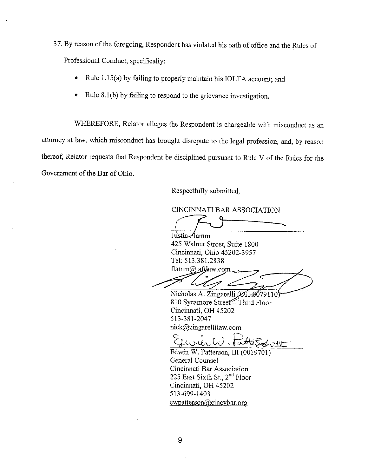37. By reason of the foregoing, Respondent has violated his oath of office and the Rules of Professional Conduct, specifically:

- Rule 1.15(a) by failing to properly maintain his IOLTA account; and
- Rule 8.1 (b) by failing to respond to the grievance investigation.

WHEREFORE, Relator alleges the Respondent is chargeable with misconduct as an attorney at law, which misconduct has brought disrepute to the legal profession, and, by reason thereof, Relator requests that Respondent be disciplined pursuant to Rule V of the Rules for the Government of the Bar of Ohio.

Respectfully submitted,

CINCINNATI BAR ASSOCIATION

 $J_{\text{Iuklin}}$   $J_{\text{Iamm}}$ 

425 Walnut Street, Suite 1800 Cincinnati, Ohio 45202-3957 Tel: 513.381.2838 flamm@taftlaw.com

Nicholas A. Zingarelli (ØH-Ø079110 810 Sycamore Street<sup>Third</sup> Floor Cincinnati, OH 45202 513-381-2047

nick@zingarellilaw.com<br>
Surver W. Potterson III (0019701)

Edwin W. Patterson, III (0019701) General Counsel Cincinnati Bar Association 225 East Sixth St., 2nd Floor Cincinnati, OH 45202 513-699-1403 ewpatterson@cincybar.org